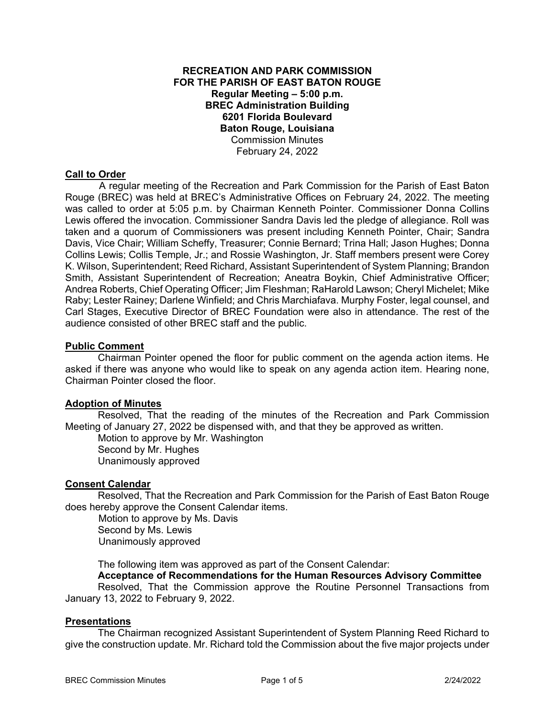## **RECREATION AND PARK COMMISSION FOR THE PARISH OF EAST BATON ROUGE Regular Meeting – 5:00 p.m. BREC Administration Building 6201 Florida Boulevard Baton Rouge, Louisiana**  Commission Minutes February 24, 2022

## **Call to Order**

 A regular meeting of the Recreation and Park Commission for the Parish of East Baton Rouge (BREC) was held at BREC's Administrative Offices on February 24, 2022. The meeting was called to order at 5:05 p.m. by Chairman Kenneth Pointer. Commissioner Donna Collins Lewis offered the invocation. Commissioner Sandra Davis led the pledge of allegiance. Roll was taken and a quorum of Commissioners was present including Kenneth Pointer, Chair; Sandra Davis, Vice Chair; William Scheffy, Treasurer; Connie Bernard; Trina Hall; Jason Hughes; Donna Collins Lewis; Collis Temple, Jr.; and Rossie Washington, Jr. Staff members present were Corey K. Wilson, Superintendent; Reed Richard, Assistant Superintendent of System Planning; Brandon Smith, Assistant Superintendent of Recreation; Aneatra Boykin, Chief Administrative Officer; Andrea Roberts, Chief Operating Officer; Jim Fleshman; RaHarold Lawson; Cheryl Michelet; Mike Raby; Lester Rainey; Darlene Winfield; and Chris Marchiafava. Murphy Foster, legal counsel, and Carl Stages, Executive Director of BREC Foundation were also in attendance. The rest of the audience consisted of other BREC staff and the public.

## **Public Comment**

Chairman Pointer opened the floor for public comment on the agenda action items. He asked if there was anyone who would like to speak on any agenda action item. Hearing none, Chairman Pointer closed the floor.

## **Adoption of Minutes**

Resolved, That the reading of the minutes of the Recreation and Park Commission Meeting of January 27, 2022 be dispensed with, and that they be approved as written.

Motion to approve by Mr. Washington Second by Mr. Hughes Unanimously approved

#### **Consent Calendar**

Resolved, That the Recreation and Park Commission for the Parish of East Baton Rouge does hereby approve the Consent Calendar items.

 Motion to approve by Ms. Davis Second by Ms. Lewis Unanimously approved

The following item was approved as part of the Consent Calendar:

 **Acceptance of Recommendations for the Human Resources Advisory Committee** 

 Resolved, That the Commission approve the Routine Personnel Transactions from January 13, 2022 to February 9, 2022.

#### **Presentations**

The Chairman recognized Assistant Superintendent of System Planning Reed Richard to give the construction update. Mr. Richard told the Commission about the five major projects under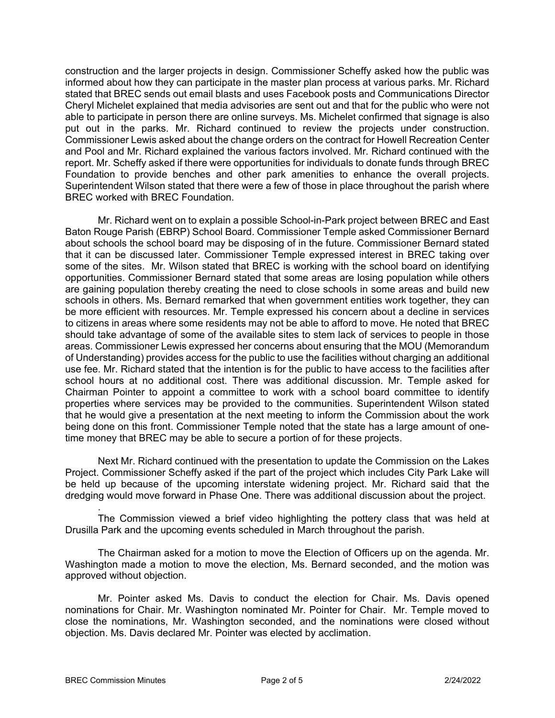construction and the larger projects in design. Commissioner Scheffy asked how the public was informed about how they can participate in the master plan process at various parks. Mr. Richard stated that BREC sends out email blasts and uses Facebook posts and Communications Director Cheryl Michelet explained that media advisories are sent out and that for the public who were not able to participate in person there are online surveys. Ms. Michelet confirmed that signage is also put out in the parks. Mr. Richard continued to review the projects under construction. Commissioner Lewis asked about the change orders on the contract for Howell Recreation Center and Pool and Mr. Richard explained the various factors involved. Mr. Richard continued with the report. Mr. Scheffy asked if there were opportunities for individuals to donate funds through BREC Foundation to provide benches and other park amenities to enhance the overall projects. Superintendent Wilson stated that there were a few of those in place throughout the parish where BREC worked with BREC Foundation.

Mr. Richard went on to explain a possible School-in-Park project between BREC and East Baton Rouge Parish (EBRP) School Board. Commissioner Temple asked Commissioner Bernard about schools the school board may be disposing of in the future. Commissioner Bernard stated that it can be discussed later. Commissioner Temple expressed interest in BREC taking over some of the sites. Mr. Wilson stated that BREC is working with the school board on identifying opportunities. Commissioner Bernard stated that some areas are losing population while others are gaining population thereby creating the need to close schools in some areas and build new schools in others. Ms. Bernard remarked that when government entities work together, they can be more efficient with resources. Mr. Temple expressed his concern about a decline in services to citizens in areas where some residents may not be able to afford to move. He noted that BREC should take advantage of some of the available sites to stem lack of services to people in those areas. Commissioner Lewis expressed her concerns about ensuring that the MOU (Memorandum of Understanding) provides access for the public to use the facilities without charging an additional use fee. Mr. Richard stated that the intention is for the public to have access to the facilities after school hours at no additional cost. There was additional discussion. Mr. Temple asked for Chairman Pointer to appoint a committee to work with a school board committee to identify properties where services may be provided to the communities. Superintendent Wilson stated that he would give a presentation at the next meeting to inform the Commission about the work being done on this front. Commissioner Temple noted that the state has a large amount of onetime money that BREC may be able to secure a portion of for these projects.

Next Mr. Richard continued with the presentation to update the Commission on the Lakes Project. Commissioner Scheffy asked if the part of the project which includes City Park Lake will be held up because of the upcoming interstate widening project. Mr. Richard said that the dredging would move forward in Phase One. There was additional discussion about the project.

. The Commission viewed a brief video highlighting the pottery class that was held at Drusilla Park and the upcoming events scheduled in March throughout the parish.

 The Chairman asked for a motion to move the Election of Officers up on the agenda. Mr. Washington made a motion to move the election, Ms. Bernard seconded, and the motion was approved without objection.

 Mr. Pointer asked Ms. Davis to conduct the election for Chair. Ms. Davis opened nominations for Chair. Mr. Washington nominated Mr. Pointer for Chair. Mr. Temple moved to close the nominations, Mr. Washington seconded, and the nominations were closed without objection. Ms. Davis declared Mr. Pointer was elected by acclimation.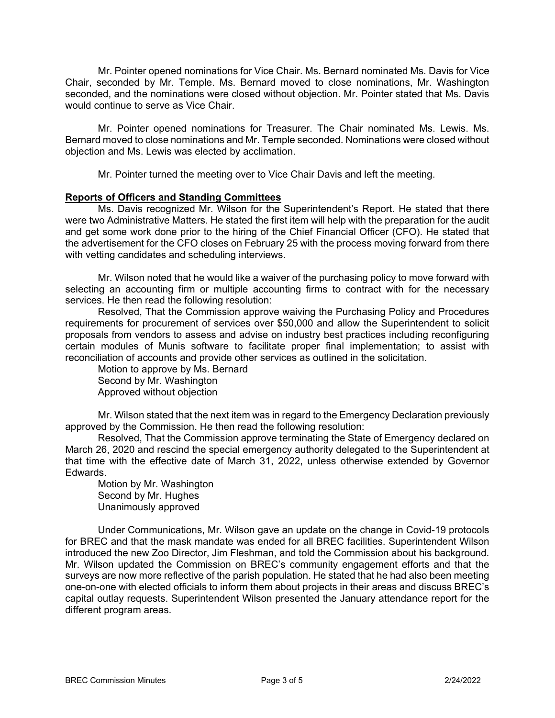Mr. Pointer opened nominations for Vice Chair. Ms. Bernard nominated Ms. Davis for Vice Chair, seconded by Mr. Temple. Ms. Bernard moved to close nominations, Mr. Washington seconded, and the nominations were closed without objection. Mr. Pointer stated that Ms. Davis would continue to serve as Vice Chair.

Mr. Pointer opened nominations for Treasurer. The Chair nominated Ms. Lewis. Ms. Bernard moved to close nominations and Mr. Temple seconded. Nominations were closed without objection and Ms. Lewis was elected by acclimation.

Mr. Pointer turned the meeting over to Vice Chair Davis and left the meeting.

# **Reports of Officers and Standing Committees**

Ms. Davis recognized Mr. Wilson for the Superintendent's Report. He stated that there were two Administrative Matters. He stated the first item will help with the preparation for the audit and get some work done prior to the hiring of the Chief Financial Officer (CFO). He stated that the advertisement for the CFO closes on February 25 with the process moving forward from there with vetting candidates and scheduling interviews.

Mr. Wilson noted that he would like a waiver of the purchasing policy to move forward with selecting an accounting firm or multiple accounting firms to contract with for the necessary services. He then read the following resolution:

Resolved, That the Commission approve waiving the Purchasing Policy and Procedures requirements for procurement of services over \$50,000 and allow the Superintendent to solicit proposals from vendors to assess and advise on industry best practices including reconfiguring certain modules of Munis software to facilitate proper final implementation; to assist with reconciliation of accounts and provide other services as outlined in the solicitation.

Motion to approve by Ms. Bernard Second by Mr. Washington Approved without objection

Mr. Wilson stated that the next item was in regard to the Emergency Declaration previously approved by the Commission. He then read the following resolution:

Resolved, That the Commission approve terminating the State of Emergency declared on March 26, 2020 and rescind the special emergency authority delegated to the Superintendent at that time with the effective date of March 31, 2022, unless otherwise extended by Governor Edwards.

Motion by Mr. Washington Second by Mr. Hughes Unanimously approved

Under Communications, Mr. Wilson gave an update on the change in Covid-19 protocols for BREC and that the mask mandate was ended for all BREC facilities. Superintendent Wilson introduced the new Zoo Director, Jim Fleshman, and told the Commission about his background. Mr. Wilson updated the Commission on BREC's community engagement efforts and that the surveys are now more reflective of the parish population. He stated that he had also been meeting one-on-one with elected officials to inform them about projects in their areas and discuss BREC's capital outlay requests. Superintendent Wilson presented the January attendance report for the different program areas.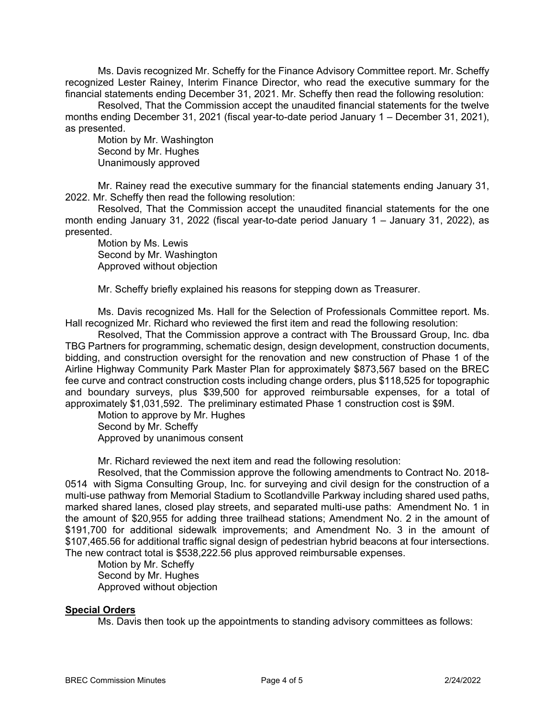Ms. Davis recognized Mr. Scheffy for the Finance Advisory Committee report. Mr. Scheffy recognized Lester Rainey, Interim Finance Director, who read the executive summary for the financial statements ending December 31, 2021. Mr. Scheffy then read the following resolution:

Resolved, That the Commission accept the unaudited financial statements for the twelve months ending December 31, 2021 (fiscal year-to-date period January 1 – December 31, 2021), as presented.

Motion by Mr. Washington Second by Mr. Hughes Unanimously approved

Mr. Rainey read the executive summary for the financial statements ending January 31, 2022. Mr. Scheffy then read the following resolution:

Resolved, That the Commission accept the unaudited financial statements for the one month ending January 31, 2022 (fiscal year-to-date period January 1 – January 31, 2022), as presented.

Motion by Ms. Lewis Second by Mr. Washington Approved without objection

Mr. Scheffy briefly explained his reasons for stepping down as Treasurer.

Ms. Davis recognized Ms. Hall for the Selection of Professionals Committee report. Ms. Hall recognized Mr. Richard who reviewed the first item and read the following resolution:

Resolved, That the Commission approve a contract with The Broussard Group, Inc. dba TBG Partners for programming, schematic design, design development, construction documents, bidding, and construction oversight for the renovation and new construction of Phase 1 of the Airline Highway Community Park Master Plan for approximately \$873,567 based on the BREC fee curve and contract construction costs including change orders, plus \$118,525 for topographic and boundary surveys, plus \$39,500 for approved reimbursable expenses, for a total of approximately \$1,031,592. The preliminary estimated Phase 1 construction cost is \$9M.

Motion to approve by Mr. Hughes Second by Mr. Scheffy Approved by unanimous consent

Mr. Richard reviewed the next item and read the following resolution:

Resolved, that the Commission approve the following amendments to Contract No. 2018- 0514 with Sigma Consulting Group, Inc. for surveying and civil design for the construction of a multi-use pathway from Memorial Stadium to Scotlandville Parkway including shared used paths, marked shared lanes, closed play streets, and separated multi-use paths: Amendment No. 1 in the amount of \$20,955 for adding three trailhead stations; Amendment No. 2 in the amount of \$191,700 for additional sidewalk improvements; and Amendment No. 3 in the amount of \$107,465.56 for additional traffic signal design of pedestrian hybrid beacons at four intersections. The new contract total is \$538,222.56 plus approved reimbursable expenses.

Motion by Mr. Scheffy Second by Mr. Hughes Approved without objection

# **Special Orders**

Ms. Davis then took up the appointments to standing advisory committees as follows: